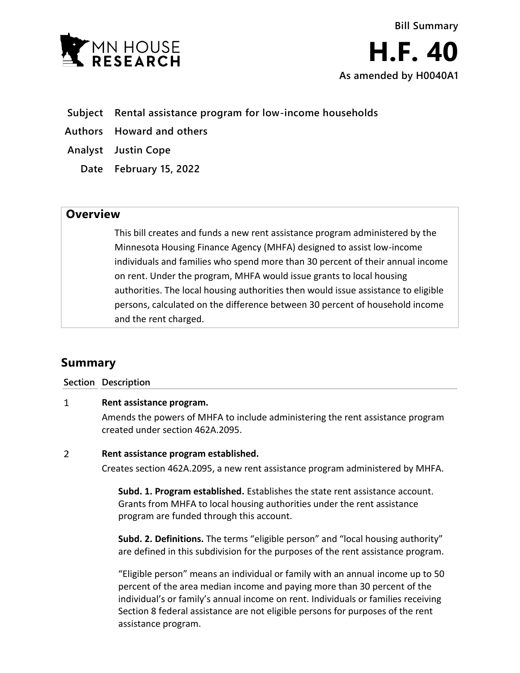

- **Subject Rental assistance program for low-income households**
- **Authors Howard and others**
- **Analyst Justin Cope**
	- **Date February 15, 2022**

## **Overview**

This bill creates and funds a new rent assistance program administered by the Minnesota Housing Finance Agency (MHFA) designed to assist low-income individuals and families who spend more than 30 percent of their annual income on rent. Under the program, MHFA would issue grants to local housing authorities. The local housing authorities then would issue assistance to eligible persons, calculated on the difference between 30 percent of household income and the rent charged.

# **Summary**

### **Section Description**

#### $\mathbf{1}$ **Rent assistance program.**

Amends the powers of MHFA to include administering the rent assistance program created under section 462A.2095.

#### $\overline{2}$ **Rent assistance program established.**

Creates section 462A.2095, a new rent assistance program administered by MHFA.

**Subd. 1. Program established.** Establishes the state rent assistance account. Grants from MHFA to local housing authorities under the rent assistance program are funded through this account.

**Subd. 2. Definitions.** The terms "eligible person" and "local housing authority" are defined in this subdivision for the purposes of the rent assistance program.

"Eligible person" means an individual or family with an annual income up to 50 percent of the area median income and paying more than 30 percent of the individual's or family's annual income on rent. Individuals or families receiving Section 8 federal assistance are not eligible persons for purposes of the rent assistance program.